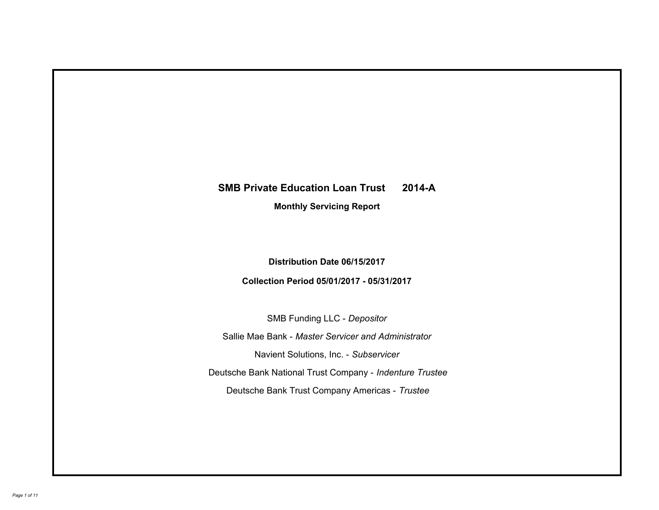# **SMB Private Education Loan Trust 2014-A Monthly Servicing Report**

# **Distribution Date 06/15/2017**

# **Collection Period 05/01/2017 - 05/31/2017**

SMB Funding LLC - *Depositor*

Sallie Mae Bank - *Master Servicer and Administrator*

Navient Solutions, Inc. - *Subservicer*

Deutsche Bank National Trust Company - *Indenture Trustee*

Deutsche Bank Trust Company Americas - *Trustee*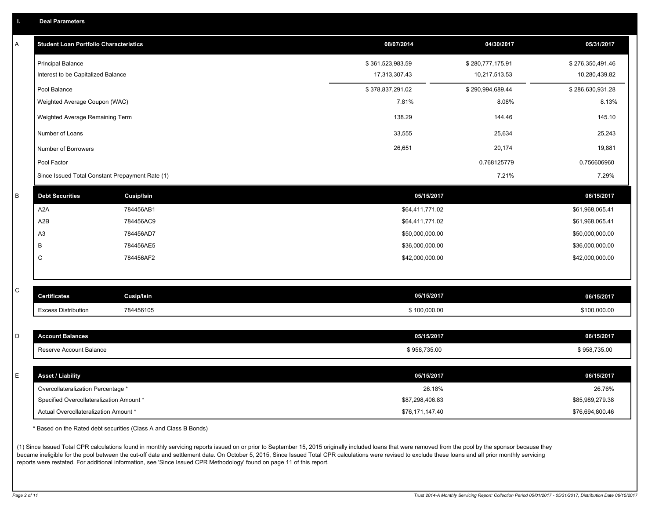|  | <b>Deal Parameters</b> |  |
|--|------------------------|--|
|  |                        |  |

| A | <b>Student Loan Portfolio Characteristics</b>   |                   | 08/07/2014       | 04/30/2017       | 05/31/2017       |
|---|-------------------------------------------------|-------------------|------------------|------------------|------------------|
|   | <b>Principal Balance</b>                        |                   | \$361,523,983.59 | \$280,777,175.91 | \$276,350,491.46 |
|   | Interest to be Capitalized Balance              |                   | 17,313,307.43    | 10,217,513.53    | 10,280,439.82    |
|   | Pool Balance                                    |                   | \$378,837,291.02 | \$290,994,689.44 | \$286,630,931.28 |
|   | Weighted Average Coupon (WAC)                   |                   | 7.81%            | 8.08%            | 8.13%            |
|   | Weighted Average Remaining Term                 |                   | 138.29           | 144.46           | 145.10           |
|   | Number of Loans                                 |                   | 33,555           | 25,634           | 25,243           |
|   | Number of Borrowers                             |                   | 26,651           | 20,174           | 19,881           |
|   | Pool Factor                                     |                   |                  | 0.768125779      | 0.756606960      |
|   | Since Issued Total Constant Prepayment Rate (1) |                   |                  | 7.21%            | 7.29%            |
| B | <b>Debt Securities</b>                          | <b>Cusip/Isin</b> | 05/15/2017       |                  | 06/15/2017       |
|   | A <sub>2</sub> A                                | 784456AB1         | \$64,411,771.02  |                  | \$61,968,065.41  |
|   | A2B                                             | 784456AC9         | \$64,411,771.02  |                  | \$61,968,065.41  |
|   | A <sub>3</sub>                                  | 784456AD7         | \$50,000,000.00  |                  | \$50,000,000.00  |
|   | B                                               | 784456AE5         | \$36,000,000.00  |                  | \$36,000,000.00  |
|   | C                                               | 784456AF2         | \$42,000,000.00  |                  | \$42,000,000.00  |
|   |                                                 |                   |                  |                  |                  |
| С | <b>Certificates</b>                             | <b>Cusip/Isin</b> | 05/15/2017       |                  | 06/15/2017       |
|   | <b>Excess Distribution</b>                      | 784456105         | \$100,000.00     |                  | \$100,000.00     |
|   |                                                 |                   |                  |                  |                  |
| D | <b>Account Balances</b>                         |                   | 05/15/2017       |                  | 06/15/2017       |
|   | Reserve Account Balance                         |                   | \$958,735.00     |                  | \$958,735.00     |
|   |                                                 |                   |                  |                  |                  |
| E | <b>Asset / Liability</b>                        |                   | 05/15/2017       |                  | 06/15/2017       |
|   | Overcollateralization Percentage *              |                   | 26.18%           |                  | 26.76%           |
|   | Specified Overcollateralization Amount *        |                   | \$87,298,406.83  |                  | \$85,989,279.38  |
|   | Actual Overcollateralization Amount *           |                   | \$76,171,147.40  |                  | \$76,694,800.46  |

\* Based on the Rated debt securities (Class A and Class B Bonds)

(1) Since Issued Total CPR calculations found in monthly servicing reports issued on or prior to September 15, 2015 originally included loans that were removed from the pool by the sponsor because they became ineligible for the pool between the cut-off date and settlement date. On October 5, 2015, Since Issued Total CPR calculations were revised to exclude these loans and all prior monthly servicing reports were restated. For additional information, see 'Since Issued CPR Methodology' found on page 11 of this report.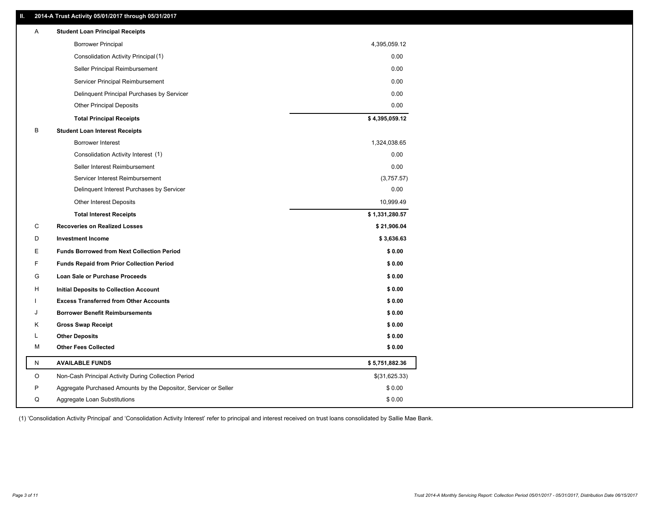### **II. 2014-A Trust Activity 05/01/2017 through 05/31/2017**

| Α | <b>Student Loan Principal Receipts</b>                           |                |  |
|---|------------------------------------------------------------------|----------------|--|
|   | <b>Borrower Principal</b>                                        | 4,395,059.12   |  |
|   | Consolidation Activity Principal (1)                             | 0.00           |  |
|   | Seller Principal Reimbursement                                   | 0.00           |  |
|   | Servicer Principal Reimbursement                                 | 0.00           |  |
|   | Delinquent Principal Purchases by Servicer                       | 0.00           |  |
|   | <b>Other Principal Deposits</b>                                  | 0.00           |  |
|   | <b>Total Principal Receipts</b>                                  | \$4,395,059.12 |  |
| в | <b>Student Loan Interest Receipts</b>                            |                |  |
|   | Borrower Interest                                                | 1,324,038.65   |  |
|   | Consolidation Activity Interest (1)                              | 0.00           |  |
|   | Seller Interest Reimbursement                                    | 0.00           |  |
|   | Servicer Interest Reimbursement                                  | (3,757.57)     |  |
|   | Delinquent Interest Purchases by Servicer                        | 0.00           |  |
|   | Other Interest Deposits                                          | 10,999.49      |  |
|   | <b>Total Interest Receipts</b>                                   | \$1,331,280.57 |  |
| C | <b>Recoveries on Realized Losses</b>                             | \$21,906.04    |  |
| D | <b>Investment Income</b>                                         | \$3,636.63     |  |
| E | <b>Funds Borrowed from Next Collection Period</b>                | \$0.00         |  |
| F | <b>Funds Repaid from Prior Collection Period</b>                 | \$0.00         |  |
| G | Loan Sale or Purchase Proceeds                                   | \$0.00         |  |
| н | <b>Initial Deposits to Collection Account</b>                    | \$0.00         |  |
|   | <b>Excess Transferred from Other Accounts</b>                    | \$0.00         |  |
| J | <b>Borrower Benefit Reimbursements</b>                           | \$0.00         |  |
| Κ | <b>Gross Swap Receipt</b>                                        | \$0.00         |  |
| L | <b>Other Deposits</b>                                            | \$0.00         |  |
| М | <b>Other Fees Collected</b>                                      | \$0.00         |  |
| N | <b>AVAILABLE FUNDS</b>                                           | \$5,751,882.36 |  |
| O | Non-Cash Principal Activity During Collection Period             | \$(31,625.33)  |  |
| P | Aggregate Purchased Amounts by the Depositor, Servicer or Seller | \$0.00         |  |
| Q | Aggregate Loan Substitutions                                     | \$0.00         |  |

(1) 'Consolidation Activity Principal' and 'Consolidation Activity Interest' refer to principal and interest received on trust loans consolidated by Sallie Mae Bank.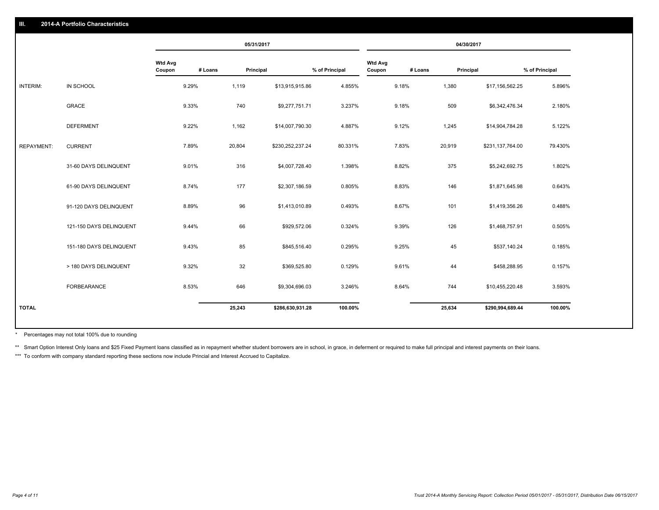|                   |                         |                          |         | 05/31/2017 |                  |                |                          |         | 04/30/2017 |                  |                |
|-------------------|-------------------------|--------------------------|---------|------------|------------------|----------------|--------------------------|---------|------------|------------------|----------------|
|                   |                         | <b>Wtd Avg</b><br>Coupon | # Loans | Principal  |                  | % of Principal | <b>Wtd Avg</b><br>Coupon | # Loans | Principal  |                  | % of Principal |
| INTERIM:          | IN SCHOOL               |                          | 9.29%   | 1,119      | \$13,915,915.86  | 4.855%         |                          | 9.18%   | 1,380      | \$17,156,562.25  | 5.896%         |
|                   | <b>GRACE</b>            |                          | 9.33%   | 740        | \$9,277,751.71   | 3.237%         |                          | 9.18%   | 509        | \$6,342,476.34   | 2.180%         |
|                   | <b>DEFERMENT</b>        |                          | 9.22%   | 1,162      | \$14,007,790.30  | 4.887%         |                          | 9.12%   | 1,245      | \$14,904,784.28  | 5.122%         |
| <b>REPAYMENT:</b> | <b>CURRENT</b>          |                          | 7.89%   | 20,804     | \$230,252,237.24 | 80.331%        |                          | 7.83%   | 20,919     | \$231,137,764.00 | 79.430%        |
|                   | 31-60 DAYS DELINQUENT   |                          | 9.01%   | 316        | \$4,007,728.40   | 1.398%         |                          | 8.82%   | 375        | \$5,242,692.75   | 1.802%         |
|                   | 61-90 DAYS DELINQUENT   |                          | 8.74%   | 177        | \$2,307,186.59   | 0.805%         |                          | 8.83%   | 146        | \$1,871,645.98   | 0.643%         |
|                   | 91-120 DAYS DELINQUENT  |                          | 8.89%   | 96         | \$1,413,010.89   | 0.493%         |                          | 8.67%   | 101        | \$1,419,356.26   | 0.488%         |
|                   | 121-150 DAYS DELINQUENT |                          | 9.44%   | 66         | \$929,572.06     | 0.324%         |                          | 9.39%   | 126        | \$1,468,757.91   | 0.505%         |
|                   | 151-180 DAYS DELINQUENT |                          | 9.43%   | 85         | \$845,516.40     | 0.295%         |                          | 9.25%   | 45         | \$537,140.24     | 0.185%         |
|                   | > 180 DAYS DELINQUENT   |                          | 9.32%   | 32         | \$369,525.80     | 0.129%         |                          | 9.61%   | 44         | \$458,288.95     | 0.157%         |
|                   | <b>FORBEARANCE</b>      |                          | 8.53%   | 646        | \$9,304,696.03   | 3.246%         |                          | 8.64%   | 744        | \$10,455,220.48  | 3.593%         |
| <b>TOTAL</b>      |                         |                          |         | 25,243     | \$286,630,931.28 | 100.00%        |                          |         | 25,634     | \$290,994,689.44 | 100.00%        |
|                   |                         |                          |         |            |                  |                |                          |         |            |                  |                |

Percentages may not total 100% due to rounding \*

\*\* Smart Option Interest Only loans and \$25 Fixed Payment loans classified as in repayment whether student borrowers are in school, in grace, in deferment or required to make full principal and interest payments on their l

\*\*\* To conform with company standard reporting these sections now include Princial and Interest Accrued to Capitalize.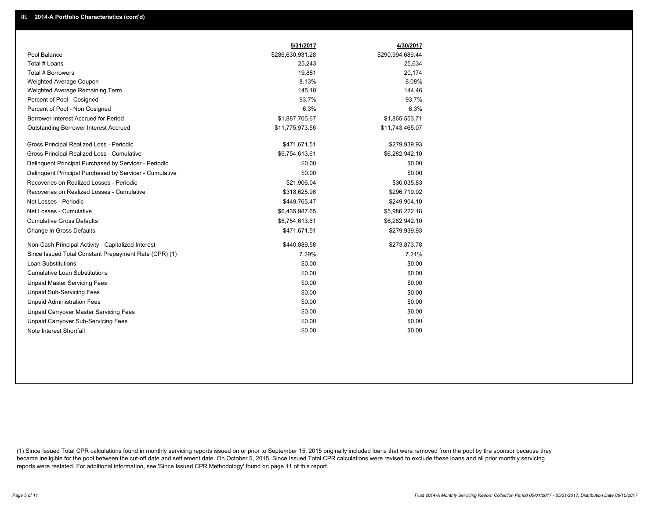|                                                         | 5/31/2017        | 4/30/2017        |
|---------------------------------------------------------|------------------|------------------|
| Pool Balance                                            | \$286,630,931.28 | \$290,994,689.44 |
| Total # Loans                                           | 25,243           | 25,634           |
| Total # Borrowers                                       | 19,881           | 20.174           |
| Weighted Average Coupon                                 | 8.13%            | 8.08%            |
| Weighted Average Remaining Term                         | 145.10           | 144.46           |
| Percent of Pool - Cosigned                              | 93.7%            | 93.7%            |
| Percent of Pool - Non Cosigned                          | 6.3%             | 6.3%             |
| Borrower Interest Accrued for Period                    | \$1,887,705.67   | \$1,865,553.71   |
| Outstanding Borrower Interest Accrued                   | \$11,775,973.56  | \$11,743,465.07  |
| Gross Principal Realized Loss - Periodic                | \$471,671.51     | \$279,939.93     |
| Gross Principal Realized Loss - Cumulative              | \$6,754,613.61   | \$6,282,942.10   |
| Delinquent Principal Purchased by Servicer - Periodic   | \$0.00           | \$0.00           |
| Delinquent Principal Purchased by Servicer - Cumulative | \$0.00           | \$0.00           |
| Recoveries on Realized Losses - Periodic                | \$21,906.04      | \$30,035.83      |
| Recoveries on Realized Losses - Cumulative              | \$318,625.96     | \$296,719.92     |
| Net Losses - Periodic                                   | \$449,765.47     | \$249,904.10     |
| Net Losses - Cumulative                                 | \$6,435,987.65   | \$5,986,222.18   |
| <b>Cumulative Gross Defaults</b>                        | \$6,754,613.61   | \$6,282,942.10   |
| Change in Gross Defaults                                | \$471,671.51     | \$279,939.93     |
| Non-Cash Principal Activity - Capitalized Interest      | \$440,889.58     | \$273,873.78     |
| Since Issued Total Constant Prepayment Rate (CPR) (1)   | 7.29%            | 7.21%            |
| Loan Substitutions                                      | \$0.00           | \$0.00           |
| <b>Cumulative Loan Substitutions</b>                    | \$0.00           | \$0.00           |
| <b>Unpaid Master Servicing Fees</b>                     | \$0.00           | \$0.00           |
| <b>Unpaid Sub-Servicing Fees</b>                        | \$0.00           | \$0.00           |
| <b>Unpaid Administration Fees</b>                       | \$0.00           | \$0.00           |
| Unpaid Carryover Master Servicing Fees                  | \$0.00           | \$0.00           |
| Unpaid Carryover Sub-Servicing Fees                     | \$0.00           | \$0.00           |
| Note Interest Shortfall                                 | \$0.00           | \$0.00           |

(1) Since Issued Total CPR calculations found in monthly servicing reports issued on or prior to September 15, 2015 originally included loans that were removed from the pool by the sponsor because they became ineligible for the pool between the cut-off date and settlement date. On October 5, 2015, Since Issued Total CPR calculations were revised to exclude these loans and all prior monthly servicing reports were restated. For additional information, see 'Since Issued CPR Methodology' found on page 11 of this report.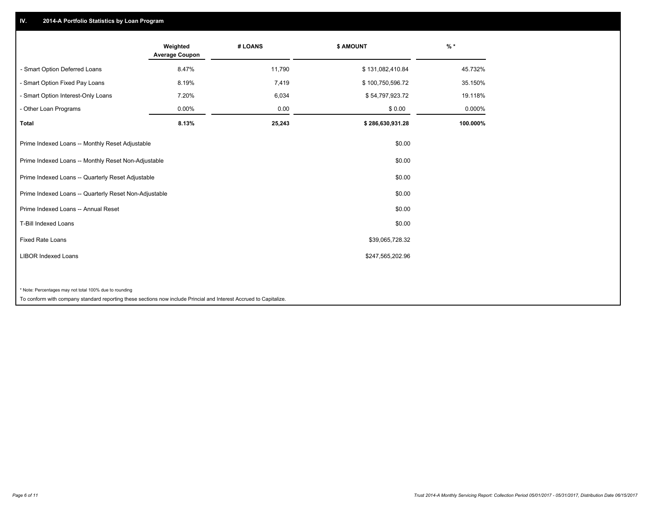## **IV. 2014-A Portfolio Statistics by Loan Program**

|                                                                                                                    | Weighted<br><b>Average Coupon</b> | # LOANS | <b>\$ AMOUNT</b> | $%$ *    |
|--------------------------------------------------------------------------------------------------------------------|-----------------------------------|---------|------------------|----------|
| - Smart Option Deferred Loans                                                                                      | 8.47%                             | 11,790  | \$131,082,410.84 | 45.732%  |
| - Smart Option Fixed Pay Loans                                                                                     | 8.19%                             | 7,419   | \$100,750,596.72 | 35.150%  |
| - Smart Option Interest-Only Loans                                                                                 | 7.20%                             | 6,034   | \$54,797,923.72  | 19.118%  |
| - Other Loan Programs                                                                                              | 0.00%                             | 0.00    | \$0.00           | 0.000%   |
| <b>Total</b>                                                                                                       | 8.13%                             | 25,243  | \$286,630,931.28 | 100.000% |
| Prime Indexed Loans -- Monthly Reset Adjustable                                                                    |                                   |         | \$0.00           |          |
| Prime Indexed Loans -- Monthly Reset Non-Adjustable                                                                |                                   |         | \$0.00           |          |
| Prime Indexed Loans -- Quarterly Reset Adjustable                                                                  |                                   |         | \$0.00           |          |
| Prime Indexed Loans -- Quarterly Reset Non-Adjustable                                                              |                                   |         | \$0.00           |          |
| Prime Indexed Loans -- Annual Reset                                                                                |                                   |         | \$0.00           |          |
| <b>T-Bill Indexed Loans</b>                                                                                        |                                   |         | \$0.00           |          |
| <b>Fixed Rate Loans</b>                                                                                            |                                   |         | \$39,065,728.32  |          |
| <b>LIBOR Indexed Loans</b>                                                                                         |                                   |         | \$247,565,202.96 |          |
|                                                                                                                    |                                   |         |                  |          |
| * Note: Percentages may not total 100% due to rounding                                                             |                                   |         |                  |          |
| To conform with company standard reporting these sections now include Princial and Interest Accrued to Capitalize. |                                   |         |                  |          |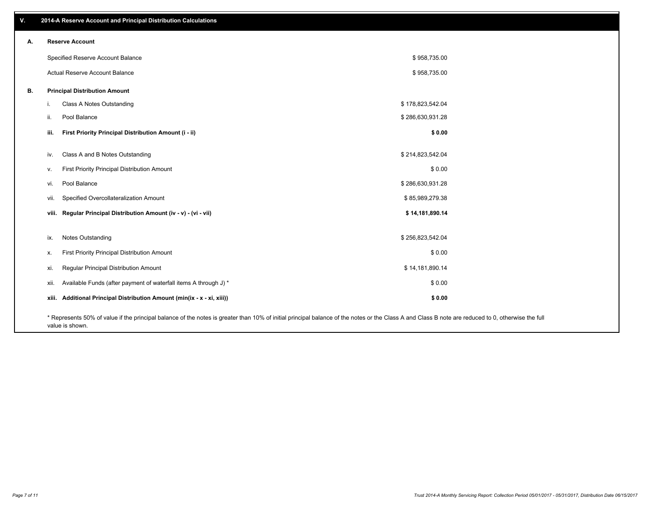| v. |                                      | 2014-A Reserve Account and Principal Distribution Calculations                                                                                                                                     |                  |  |
|----|--------------------------------------|----------------------------------------------------------------------------------------------------------------------------------------------------------------------------------------------------|------------------|--|
| А. | <b>Reserve Account</b>               |                                                                                                                                                                                                    |                  |  |
|    |                                      | Specified Reserve Account Balance                                                                                                                                                                  | \$958,735.00     |  |
|    |                                      | Actual Reserve Account Balance                                                                                                                                                                     | \$958,735.00     |  |
| В. | <b>Principal Distribution Amount</b> |                                                                                                                                                                                                    |                  |  |
|    | i.                                   | Class A Notes Outstanding                                                                                                                                                                          | \$178,823,542.04 |  |
|    | Pool Balance<br>ii.                  |                                                                                                                                                                                                    | \$286,630,931.28 |  |
|    | iii.                                 | First Priority Principal Distribution Amount (i - ii)                                                                                                                                              | \$0.00           |  |
|    | iv.                                  | Class A and B Notes Outstanding                                                                                                                                                                    | \$214,823,542.04 |  |
|    | v.                                   | First Priority Principal Distribution Amount                                                                                                                                                       | \$0.00           |  |
|    | Pool Balance<br>vi.                  |                                                                                                                                                                                                    | \$286,630,931.28 |  |
|    | vii.                                 | Specified Overcollateralization Amount                                                                                                                                                             | \$85,989,279.38  |  |
|    |                                      | viii. Regular Principal Distribution Amount (iv - v) - (vi - vii)                                                                                                                                  | \$14,181,890.14  |  |
|    | Notes Outstanding<br>ix.             |                                                                                                                                                                                                    | \$256,823,542.04 |  |
|    | Х.                                   | First Priority Principal Distribution Amount                                                                                                                                                       | \$0.00           |  |
|    | xi.                                  | Regular Principal Distribution Amount                                                                                                                                                              | \$14,181,890.14  |  |
|    | xii.                                 | Available Funds (after payment of waterfall items A through J) *                                                                                                                                   | \$0.00           |  |
|    |                                      | xiii. Additional Principal Distribution Amount (min(ix - x - xi, xiii))                                                                                                                            | \$0.00           |  |
|    |                                      | * Represents 50% of value if the principal balance of the notes is greater than 10% of initial principal balance of the notes or the Class A and Class B note are reduced to 0, otherwise the full |                  |  |

value is shown.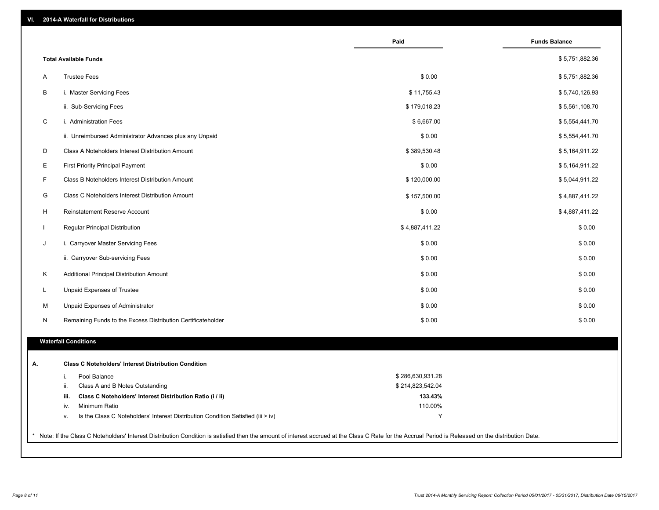| VI. |  | 2014-A Waterfall for Distributions |  |  |  |
|-----|--|------------------------------------|--|--|--|
|-----|--|------------------------------------|--|--|--|

|                                                                                        | Paid             | <b>Funds Balance</b> |
|----------------------------------------------------------------------------------------|------------------|----------------------|
| <b>Total Available Funds</b>                                                           |                  | \$5,751,882.36       |
| <b>Trustee Fees</b><br>A                                                               | \$0.00           | \$5,751,882.36       |
| B<br>i. Master Servicing Fees                                                          | \$11,755.43      | \$5,740,126.93       |
| ii. Sub-Servicing Fees                                                                 | \$179,018.23     | \$5,561,108.70       |
| C<br>i. Administration Fees                                                            | \$6,667.00       | \$5,554,441.70       |
| ii. Unreimbursed Administrator Advances plus any Unpaid                                | \$0.00           | \$5,554,441.70       |
| D<br>Class A Noteholders Interest Distribution Amount                                  | \$389,530.48     | \$5,164,911.22       |
| Ε<br><b>First Priority Principal Payment</b>                                           | \$0.00           | \$5,164,911.22       |
| F<br>Class B Noteholders Interest Distribution Amount                                  | \$120,000.00     | \$5,044,911.22       |
| G<br>Class C Noteholders Interest Distribution Amount                                  | \$157,500.00     | \$4,887,411.22       |
| H<br>Reinstatement Reserve Account                                                     | \$0.00           | \$4,887,411.22       |
| Regular Principal Distribution                                                         | \$4,887,411.22   | \$0.00               |
| J<br>i. Carryover Master Servicing Fees                                                | \$0.00           | \$0.00               |
| ii. Carryover Sub-servicing Fees                                                       | \$0.00           | \$0.00               |
| Κ<br>Additional Principal Distribution Amount                                          | \$0.00           | \$0.00               |
| L<br>Unpaid Expenses of Trustee                                                        | \$0.00           | \$0.00               |
| Unpaid Expenses of Administrator<br>M                                                  | \$0.00           | \$0.00               |
| N<br>Remaining Funds to the Excess Distribution Certificateholder                      | \$0.00           | \$0.00               |
| <b>Waterfall Conditions</b>                                                            |                  |                      |
| <b>Class C Noteholders' Interest Distribution Condition</b>                            |                  |                      |
| Pool Balance<br>i.                                                                     | \$286,630,931.28 |                      |
| ii.<br>Class A and B Notes Outstanding                                                 | \$214,823,542.04 |                      |
| Class C Noteholders' Interest Distribution Ratio (i / ii)<br>iii.                      | 133.43%          |                      |
| Minimum Ratio<br>iv.                                                                   | 110.00%          |                      |
| Is the Class C Noteholders' Interest Distribution Condition Satisfied (iii > iv)<br>٧. | Y                |                      |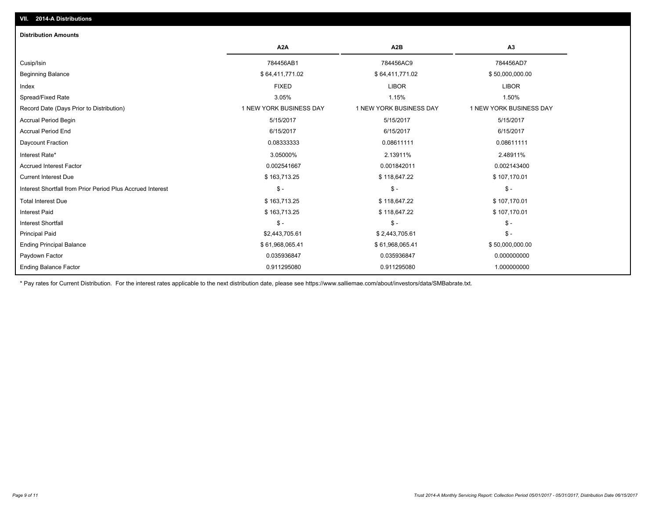## **VII. 2014-A Distributions**

| <b>Distribution Amounts</b>                                |                         |                         |                         |
|------------------------------------------------------------|-------------------------|-------------------------|-------------------------|
|                                                            | A <sub>2</sub> A        | A2B                     | A3                      |
| Cusip/Isin                                                 | 784456AB1               | 784456AC9               | 784456AD7               |
| <b>Beginning Balance</b>                                   | \$64,411,771.02         | \$64,411,771.02         | \$50,000,000.00         |
| Index                                                      | <b>FIXED</b>            | <b>LIBOR</b>            | <b>LIBOR</b>            |
| Spread/Fixed Rate                                          | 3.05%                   | 1.15%                   | 1.50%                   |
| Record Date (Days Prior to Distribution)                   | 1 NEW YORK BUSINESS DAY | 1 NEW YORK BUSINESS DAY | 1 NEW YORK BUSINESS DAY |
| <b>Accrual Period Begin</b>                                | 5/15/2017               | 5/15/2017               | 5/15/2017               |
| <b>Accrual Period End</b>                                  | 6/15/2017               | 6/15/2017               | 6/15/2017               |
| Daycount Fraction                                          | 0.08333333              | 0.08611111              | 0.08611111              |
| Interest Rate*                                             | 3.05000%                | 2.13911%                | 2.48911%                |
| <b>Accrued Interest Factor</b>                             | 0.002541667             | 0.001842011             | 0.002143400             |
| <b>Current Interest Due</b>                                | \$163,713.25            | \$118,647.22            | \$107,170.01            |
| Interest Shortfall from Prior Period Plus Accrued Interest | $\mathsf{\$}$ -         | $\mathsf{\$}$ -         | $S -$                   |
| <b>Total Interest Due</b>                                  | \$163,713.25            | \$118,647.22            | \$107,170.01            |
| <b>Interest Paid</b>                                       | \$163,713.25            | \$118,647.22            | \$107,170.01            |
| <b>Interest Shortfall</b>                                  | $\mathsf{\$}$ -         | $\mathsf{\$}$ -         | $\mathsf{\$}$ -         |
| <b>Principal Paid</b>                                      | \$2,443,705.61          | \$2,443,705.61          | $S -$                   |
| <b>Ending Principal Balance</b>                            | \$61,968,065.41         | \$61,968,065.41         | \$50,000,000.00         |
| Paydown Factor                                             | 0.035936847             | 0.035936847             | 0.000000000             |
| <b>Ending Balance Factor</b>                               | 0.911295080             | 0.911295080             | 1.000000000             |

\* Pay rates for Current Distribution. For the interest rates applicable to the next distribution date, please see https://www.salliemae.com/about/investors/data/SMBabrate.txt.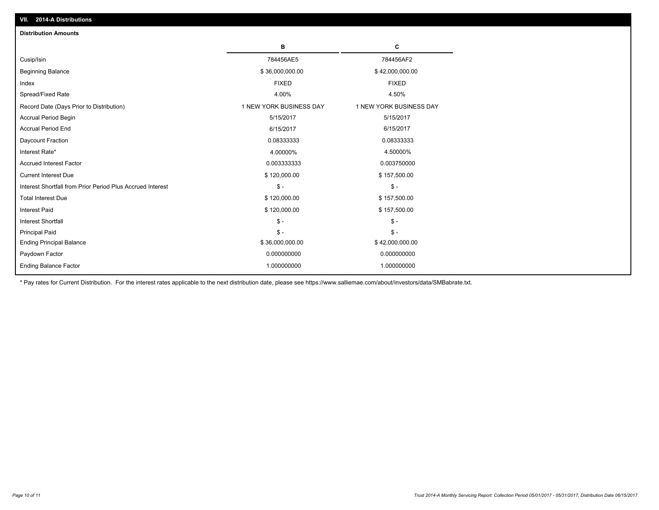| <b>Distribution Amounts</b>                                |                         |                         |
|------------------------------------------------------------|-------------------------|-------------------------|
|                                                            | в                       | C                       |
| Cusip/Isin                                                 | 784456AE5               | 784456AF2               |
| <b>Beginning Balance</b>                                   | \$36,000,000.00         | \$42,000,000.00         |
| Index                                                      | <b>FIXED</b>            | <b>FIXED</b>            |
| Spread/Fixed Rate                                          | 4.00%                   | 4.50%                   |
| Record Date (Days Prior to Distribution)                   | 1 NEW YORK BUSINESS DAY | 1 NEW YORK BUSINESS DAY |
| <b>Accrual Period Begin</b>                                | 5/15/2017               | 5/15/2017               |
| <b>Accrual Period End</b>                                  | 6/15/2017               | 6/15/2017               |
| Daycount Fraction                                          | 0.08333333              | 0.08333333              |
| Interest Rate*                                             | 4.00000%                | 4.50000%                |
| <b>Accrued Interest Factor</b>                             | 0.003333333             | 0.003750000             |
| <b>Current Interest Due</b>                                | \$120,000.00            | \$157,500.00            |
| Interest Shortfall from Prior Period Plus Accrued Interest | $\mathsf{\$}$ -         | $\mathsf{\$}$ -         |
| <b>Total Interest Due</b>                                  | \$120,000.00            | \$157,500.00            |
| <b>Interest Paid</b>                                       | \$120,000.00            | \$157,500.00            |
| <b>Interest Shortfall</b>                                  | $\mathsf{\$}$ -         | $\mathsf{\$}$ -         |
| <b>Principal Paid</b>                                      | $\mathsf{\$}$ -         | $\mathsf{\$}$ -         |
| <b>Ending Principal Balance</b>                            | \$36,000,000.00         | \$42,000,000.00         |
| Paydown Factor                                             | 0.000000000             | 0.000000000             |
| <b>Ending Balance Factor</b>                               | 1.000000000             | 1.000000000             |

\* Pay rates for Current Distribution. For the interest rates applicable to the next distribution date, please see https://www.salliemae.com/about/investors/data/SMBabrate.txt.

**VII. 2014-A Distributions**